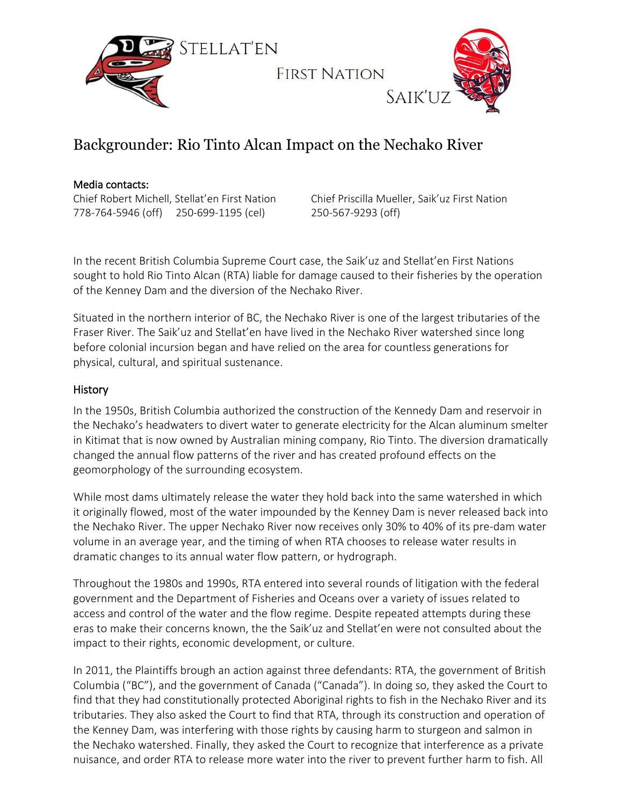

## Backgrounder: Rio Tinto Alcan Impact on the Nechako River

## Media contacts:

Chief Robert Michell, Stellat'en First Nation 778-764-5946 (off) 250-699-1195 (cel)

Chief Priscilla Mueller, Saik'uz First Nation 250-567-9293 (off)

In the recent British Columbia Supreme Court case, the Saik'uz and Stellat'en First Nations sought to hold Rio Tinto Alcan (RTA) liable for damage caused to their fisheries by the operation of the Kenney Dam and the diversion of the Nechako River.

Situated in the northern interior of BC, the Nechako River is one of the largest tributaries of the Fraser River. The Saik'uz and Stellat'en have lived in the Nechako River watershed since long before colonial incursion began and have relied on the area for countless generations for physical, cultural, and spiritual sustenance.

## **History**

In the 1950s, British Columbia authorized the construction of the Kennedy Dam and reservoir in the Nechako's headwaters to divert water to generate electricity for the Alcan aluminum smelter in Kitimat that is now owned by Australian mining company, Rio Tinto. The diversion dramatically changed the annual flow patterns of the river and has created profound effects on the geomorphology of the surrounding ecosystem.

While most dams ultimately release the water they hold back into the same watershed in which it originally flowed, most of the water impounded by the Kenney Dam is never released back into the Nechako River. The upper Nechako River now receives only 30% to 40% of its pre-dam water volume in an average year, and the timing of when RTA chooses to release water results in dramatic changes to its annual water flow pattern, or hydrograph.

Throughout the 1980s and 1990s, RTA entered into several rounds of litigation with the federal government and the Department of Fisheries and Oceans over a variety of issues related to access and control of the water and the flow regime. Despite repeated attempts during these eras to make their concerns known, the the Saik'uz and Stellat'en were not consulted about the impact to their rights, economic development, or culture.

In 2011, the Plaintiffs brough an action against three defendants: RTA, the government of British Columbia ("BC"), and the government of Canada ("Canada"). In doing so, they asked the Court to find that they had constitutionally protected Aboriginal rights to fish in the Nechako River and its tributaries. They also asked the Court to find that RTA, through its construction and operation of the Kenney Dam, was interfering with those rights by causing harm to sturgeon and salmon in the Nechako watershed. Finally, they asked the Court to recognize that interference as a private nuisance, and order RTA to release more water into the river to prevent further harm to fish. All